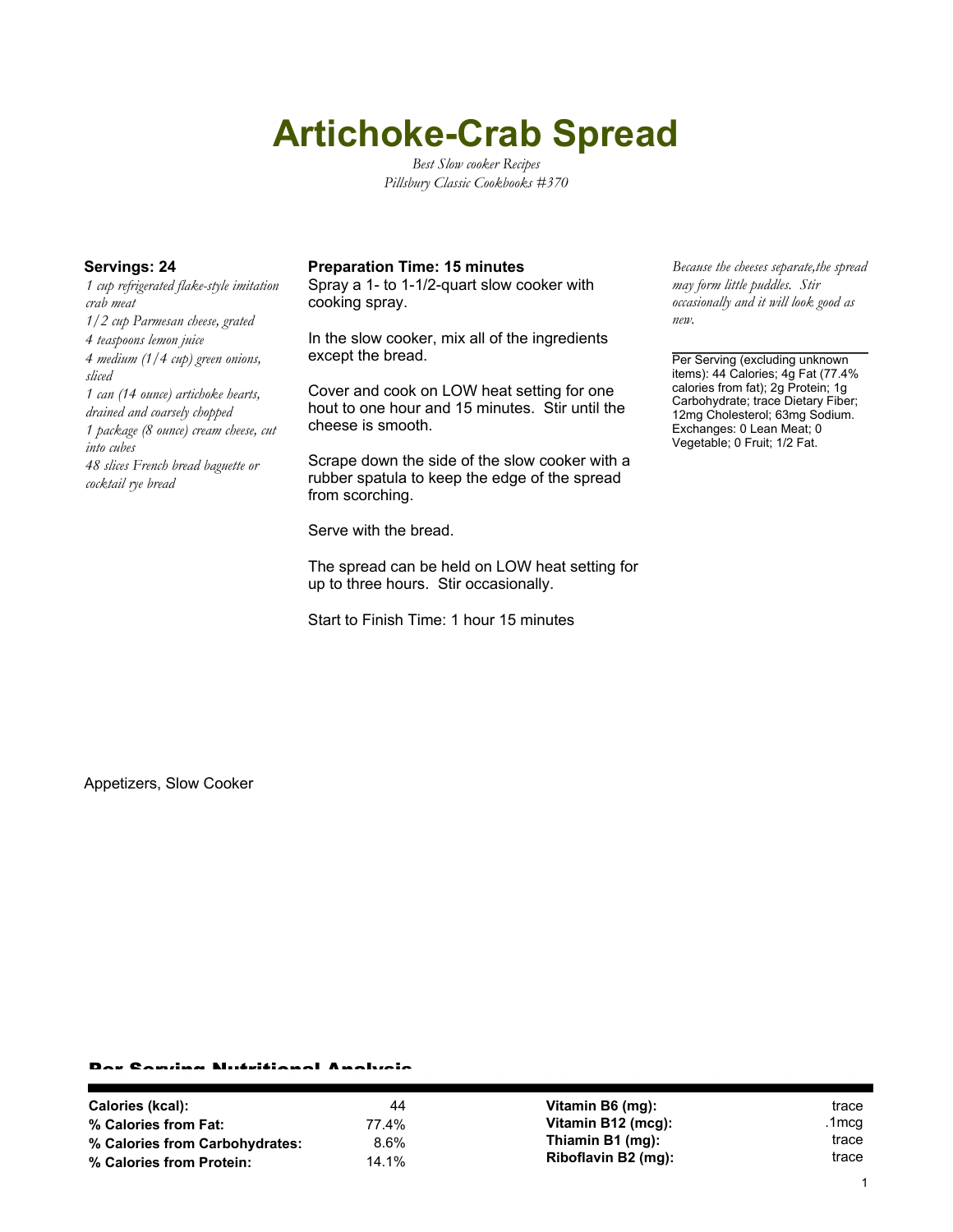# **Artichoke-Crab Spread**

*Best Slow cooker Recipes Pillsbury Classic Cookbooks #370*

*1 cup refrigerated flake-style imitation crab meat 1/2 cup Parmesan cheese, grated 4 teaspoons lemon juice 4 medium (1/4 cup) green onions, sliced 1 can (14 ounce) artichoke hearts, drained and coarsely chopped 1 package (8 ounce) cream cheese, cut into cubes 48 slices French bread baguette or cocktail rye bread*

### **Servings: 24 Preparation Time: 15 minutes** *Because the cheeses separate,the spread*

Spray a 1- to 1-1/2-quart slow cooker with cooking spray.

In the slow cooker, mix all of the ingredients except the bread.

Cover and cook on LOW heat setting for one hout to one hour and 15 minutes. Stir until the cheese is smooth.

Scrape down the side of the slow cooker with a rubber spatula to keep the edge of the spread from scorching.

Serve with the bread.

The spread can be held on LOW heat setting for up to three hours. Stir occasionally.

Start to Finish Time: 1 hour 15 minutes

*may form little puddles. Stir occasionally and it will look good as new.*

Per Serving (excluding unknown items): 44 Calories; 4g Fat (77.4% calories from fat); 2g Protein; 1g Carbohydrate; trace Dietary Fiber; 12mg Cholesterol; 63mg Sodium. Exchanges: 0 Lean Meat; 0 Vegetable; 0 Fruit; 1/2 Fat.

Appetizers, Slow Cooker

#### Per Serving Nutritional Analysis

| Calories (kcal):               | 44    | Vitamin B6 (mg):    | trace |
|--------------------------------|-------|---------------------|-------|
| % Calories from Fat:           | 77.4% | Vitamin B12 (mcg):  | .1mcg |
| % Calories from Carbohydrates: | 8.6%  | Thiamin B1 (mg):    | trace |
| % Calories from Protein:       | 14.1% | Riboflavin B2 (mg): | trace |